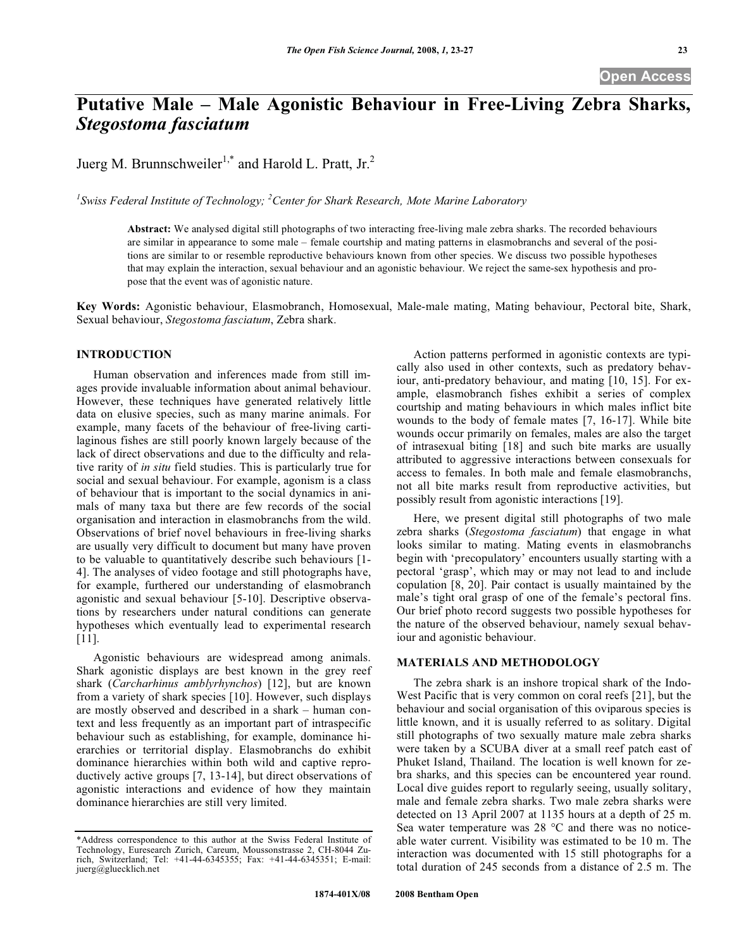# **Putative Male – Male Agonistic Behaviour in Free-Living Zebra Sharks,**  *Stegostoma fasciatum*

Juerg M. Brunnschweiler<sup>1,\*</sup> and Harold L. Pratt, Jr.<sup>2</sup>

<sup>1</sup> Swiss Federal Institute of Technology; <sup>2</sup> Center for Shark Research, Mote Marine Laboratory

**Abstract:** We analysed digital still photographs of two interacting free-living male zebra sharks. The recorded behaviours are similar in appearance to some male – female courtship and mating patterns in elasmobranchs and several of the positions are similar to or resemble reproductive behaviours known from other species. We discuss two possible hypotheses that may explain the interaction, sexual behaviour and an agonistic behaviour. We reject the same-sex hypothesis and propose that the event was of agonistic nature.

**Key Words:** Agonistic behaviour, Elasmobranch, Homosexual, Male-male mating, Mating behaviour, Pectoral bite, Shark, Sexual behaviour, *Stegostoma fasciatum*, Zebra shark.

## **INTRODUCTION**

Human observation and inferences made from still images provide invaluable information about animal behaviour. However, these techniques have generated relatively little data on elusive species, such as many marine animals. For example, many facets of the behaviour of free-living cartilaginous fishes are still poorly known largely because of the lack of direct observations and due to the difficulty and relative rarity of *in situ* field studies. This is particularly true for social and sexual behaviour. For example, agonism is a class of behaviour that is important to the social dynamics in animals of many taxa but there are few records of the social organisation and interaction in elasmobranchs from the wild. Observations of brief novel behaviours in free-living sharks are usually very difficult to document but many have proven to be valuable to quantitatively describe such behaviours [1- 4]. The analyses of video footage and still photographs have, for example, furthered our understanding of elasmobranch agonistic and sexual behaviour [5-10]. Descriptive observations by researchers under natural conditions can generate hypotheses which eventually lead to experimental research [11].

Agonistic behaviours are widespread among animals. Shark agonistic displays are best known in the grey reef shark (*Carcharhinus amblyrhynchos*) [12], but are known from a variety of shark species [10]. However, such displays are mostly observed and described in a shark – human context and less frequently as an important part of intraspecific behaviour such as establishing, for example, dominance hierarchies or territorial display. Elasmobranchs do exhibit dominance hierarchies within both wild and captive reproductively active groups [7, 13-14], but direct observations of agonistic interactions and evidence of how they maintain dominance hierarchies are still very limited.

Action patterns performed in agonistic contexts are typically also used in other contexts, such as predatory behaviour, anti-predatory behaviour, and mating [10, 15]. For example, elasmobranch fishes exhibit a series of complex courtship and mating behaviours in which males inflict bite wounds to the body of female mates [7, 16-17]. While bite wounds occur primarily on females, males are also the target of intrasexual biting [18] and such bite marks are usually attributed to aggressive interactions between consexuals for access to females. In both male and female elasmobranchs, not all bite marks result from reproductive activities, but possibly result from agonistic interactions [19].

Here, we present digital still photographs of two male zebra sharks (*Stegostoma fasciatum*) that engage in what looks similar to mating. Mating events in elasmobranchs begin with 'precopulatory' encounters usually starting with a pectoral 'grasp', which may or may not lead to and include copulation [8, 20]. Pair contact is usually maintained by the male's tight oral grasp of one of the female's pectoral fins. Our brief photo record suggests two possible hypotheses for the nature of the observed behaviour, namely sexual behaviour and agonistic behaviour.

#### **MATERIALS AND METHODOLOGY**

The zebra shark is an inshore tropical shark of the Indo-West Pacific that is very common on coral reefs [21], but the behaviour and social organisation of this oviparous species is little known, and it is usually referred to as solitary. Digital still photographs of two sexually mature male zebra sharks were taken by a SCUBA diver at a small reef patch east of Phuket Island, Thailand. The location is well known for zebra sharks, and this species can be encountered year round. Local dive guides report to regularly seeing, usually solitary, male and female zebra sharks. Two male zebra sharks were detected on 13 April 2007 at 1135 hours at a depth of 25 m. Sea water temperature was 28 °C and there was no noticeable water current. Visibility was estimated to be 10 m. The interaction was documented with 15 still photographs for a total duration of 245 seconds from a distance of 2.5 m. The

<sup>\*</sup>Address correspondence to this author at the Swiss Federal Institute of Technology, Euresearch Zurich, Careum, Moussonstrasse 2, CH-8044 Zurich, Switzerland; Tel: +41-44-6345355; Fax: +41-44-6345351; E-mail: juerg@gluecklich.net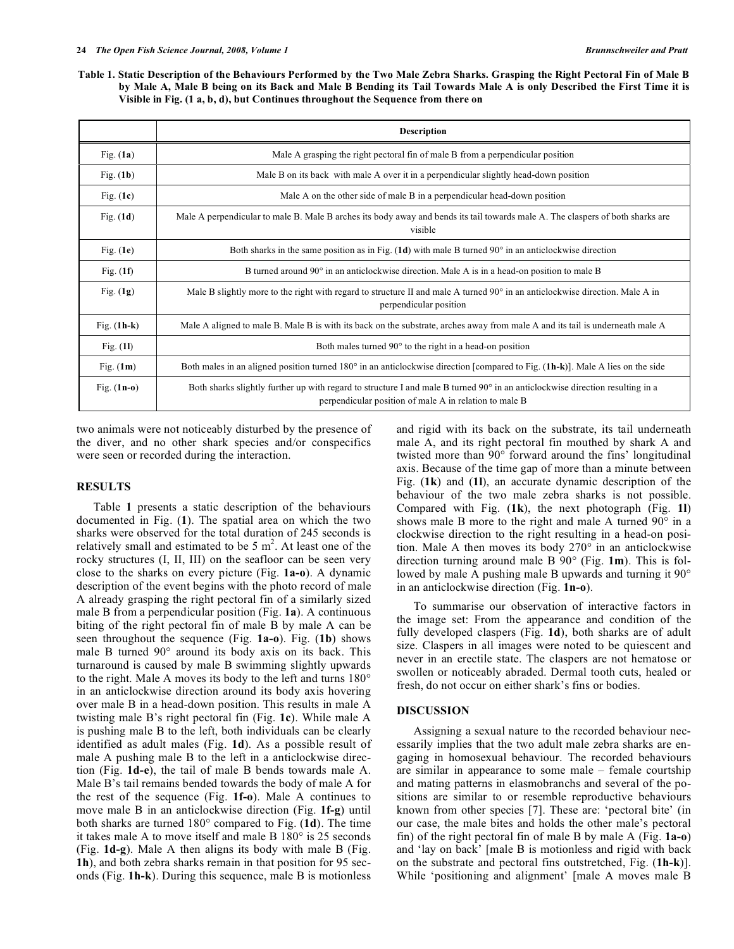**Table 1. Static Description of the Behaviours Performed by the Two Male Zebra Sharks. Grasping the Right Pectoral Fin of Male B by Male A, Male B being on its Back and Male B Bending its Tail Towards Male A is only Described the First Time it is Visible in Fig. (1 a, b, d), but Continues throughout the Sequence from there on** 

|               | <b>Description</b>                                                                                                                                                                      |
|---------------|-----------------------------------------------------------------------------------------------------------------------------------------------------------------------------------------|
| Fig. $(1a)$   | Male A grasping the right pectoral fin of male B from a perpendicular position                                                                                                          |
| Fig. $(1b)$   | Male B on its back with male A over it in a perpendicular slightly head-down position                                                                                                   |
| Fig. $(1c)$   | Male A on the other side of male B in a perpendicular head-down position                                                                                                                |
| Fig. $(1d)$   | Male A perpendicular to male B. Male B arches its body away and bends its tail towards male A. The claspers of both sharks are<br>visible                                               |
| Fig. $(1e)$   | Both sharks in the same position as in Fig. $(1d)$ with male B turned 90 $^{\circ}$ in an anticlockwise direction                                                                       |
| Fig. $(1f)$   | B turned around $90^{\circ}$ in an anticlockwise direction. Male A is in a head-on position to male B                                                                                   |
| Fig. $(1g)$   | Male B slightly more to the right with regard to structure II and male A turned 90° in an anticlockwise direction. Male A in<br>perpendicular position                                  |
| Fig. $(1h-k)$ | Male A aligned to male B. Male B is with its back on the substrate, arches away from male A and its tail is underneath male A                                                           |
| Fig. $(11)$   | Both males turned $90^\circ$ to the right in a head-on position                                                                                                                         |
| Fig. $(1m)$   | Both males in an aligned position turned 180° in an anticlockwise direction [compared to Fig. (1h-k)]. Male A lies on the side                                                          |
| Fig. $(1n-0)$ | Both sharks slightly further up with regard to structure I and male B turned 90° in an anticlockwise direction resulting in a<br>perpendicular position of male A in relation to male B |

two animals were not noticeably disturbed by the presence of the diver, and no other shark species and/or conspecifics were seen or recorded during the interaction.

### **RESULTS**

Table **1** presents a static description of the behaviours documented in Fig. (**1**). The spatial area on which the two sharks were observed for the total duration of 245 seconds is relatively small and estimated to be  $5 \text{ m}^2$ . At least one of the rocky structures (I, II, III) on the seafloor can be seen very close to the sharks on every picture (Fig. **1a-o**). A dynamic description of the event begins with the photo record of male A already grasping the right pectoral fin of a similarly sized male B from a perpendicular position (Fig. **1a**). A continuous biting of the right pectoral fin of male B by male A can be seen throughout the sequence (Fig. **1a-o**). Fig. (**1b**) shows male B turned 90° around its body axis on its back. This turnaround is caused by male B swimming slightly upwards to the right. Male A moves its body to the left and turns 180° in an anticlockwise direction around its body axis hovering over male B in a head-down position. This results in male A twisting male B's right pectoral fin (Fig. **1c**). While male A is pushing male B to the left, both individuals can be clearly identified as adult males (Fig. **1d**). As a possible result of male A pushing male B to the left in a anticlockwise direction (Fig. **1d-e**), the tail of male B bends towards male A. Male B's tail remains bended towards the body of male A for the rest of the sequence (Fig. **1f-o**). Male A continues to move male B in an anticlockwise direction (Fig. **1f-g**) until both sharks are turned 180° compared to Fig. (**1d**). The time it takes male A to move itself and male B 180° is 25 seconds (Fig. **1d-g**). Male A then aligns its body with male B (Fig. **1h**), and both zebra sharks remain in that position for 95 seconds (Fig. **1h-k**). During this sequence, male B is motionless

and rigid with its back on the substrate, its tail underneath male A, and its right pectoral fin mouthed by shark A and twisted more than 90° forward around the fins' longitudinal axis. Because of the time gap of more than a minute between Fig. (**1k**) and (**1l**), an accurate dynamic description of the behaviour of the two male zebra sharks is not possible. Compared with Fig. (**1k**), the next photograph (Fig. **1l**) shows male B more to the right and male A turned 90° in a clockwise direction to the right resulting in a head-on position. Male A then moves its body 270° in an anticlockwise direction turning around male B 90° (Fig. **1m**). This is followed by male A pushing male B upwards and turning it 90° in an anticlockwise direction (Fig. **1n-o**).

To summarise our observation of interactive factors in the image set: From the appearance and condition of the fully developed claspers (Fig. **1d**), both sharks are of adult size. Claspers in all images were noted to be quiescent and never in an erectile state. The claspers are not hematose or swollen or noticeably abraded. Dermal tooth cuts, healed or fresh, do not occur on either shark's fins or bodies.

### **DISCUSSION**

Assigning a sexual nature to the recorded behaviour necessarily implies that the two adult male zebra sharks are engaging in homosexual behaviour. The recorded behaviours are similar in appearance to some male – female courtship and mating patterns in elasmobranchs and several of the positions are similar to or resemble reproductive behaviours known from other species [7]. These are: 'pectoral bite' (in our case, the male bites and holds the other male's pectoral fin) of the right pectoral fin of male B by male A (Fig. **1a-o**) and 'lay on back' [male B is motionless and rigid with back on the substrate and pectoral fins outstretched, Fig. (**1h-k**)]. While 'positioning and alignment' [male A moves male B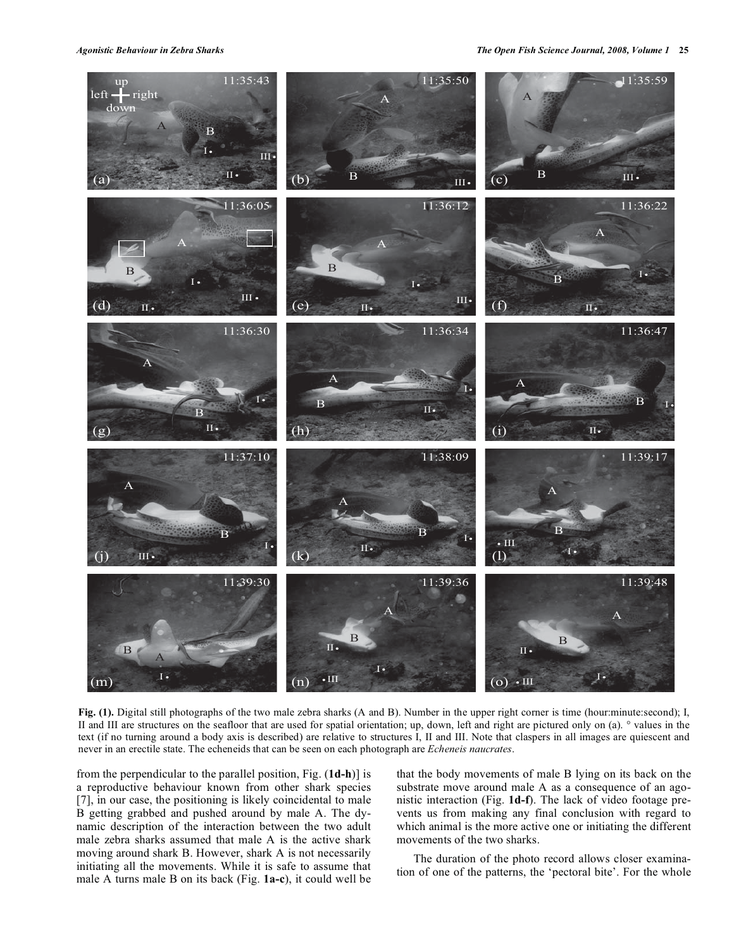*Agonistic Behaviour in Zebra Sharks The Open Fish Science Journal, 2008, Volume 1* **25**



**Fig. (1).** Digital still photographs of the two male zebra sharks (A and B). Number in the upper right corner is time (hour:minute:second); I, II and III are structures on the seafloor that are used for spatial orientation; up, down, left and right are pictured only on (a). ° values in the text (if no turning around a body axis is described) are relative to structures I, II and III. Note that claspers in all images are quiescent and never in an erectile state. The echeneids that can be seen on each photograph are *Echeneis naucrates*.

from the perpendicular to the parallel position, Fig. (**1d-h**)] is a reproductive behaviour known from other shark species [7], in our case, the positioning is likely coincidental to male B getting grabbed and pushed around by male A. The dynamic description of the interaction between the two adult male zebra sharks assumed that male A is the active shark moving around shark B. However, shark A is not necessarily initiating all the movements. While it is safe to assume that male A turns male B on its back (Fig. **1a-c**), it could well be

that the body movements of male B lying on its back on the substrate move around male A as a consequence of an agonistic interaction (Fig. **1d-f**). The lack of video footage prevents us from making any final conclusion with regard to which animal is the more active one or initiating the different movements of the two sharks.

The duration of the photo record allows closer examination of one of the patterns, the 'pectoral bite'. For the whole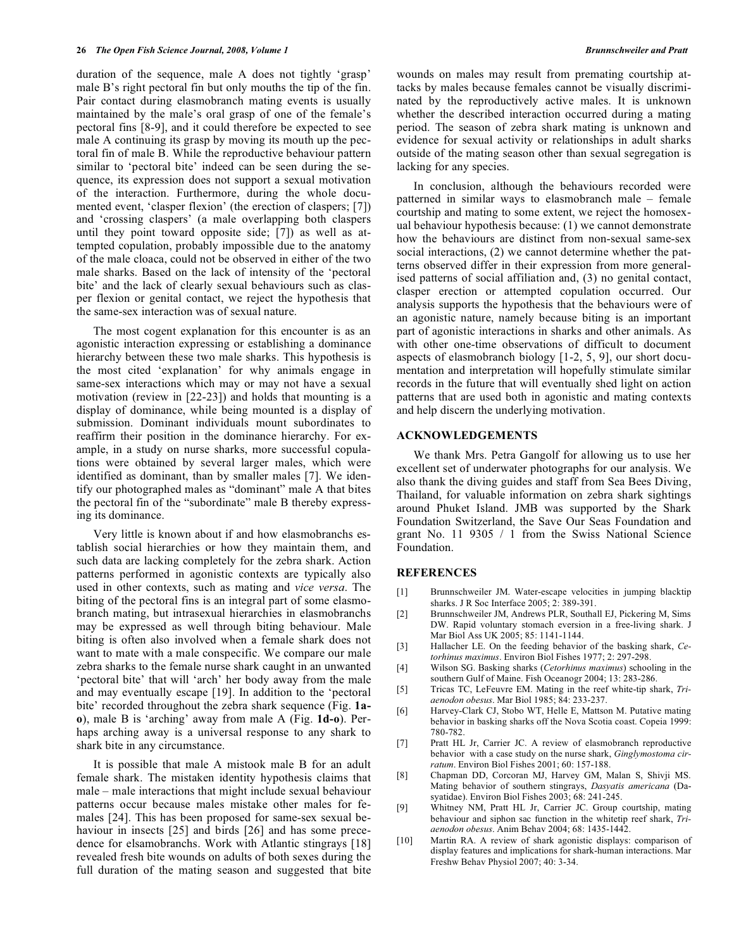duration of the sequence, male A does not tightly 'grasp' male B's right pectoral fin but only mouths the tip of the fin. Pair contact during elasmobranch mating events is usually maintained by the male's oral grasp of one of the female's pectoral fins [8-9], and it could therefore be expected to see male A continuing its grasp by moving its mouth up the pectoral fin of male B. While the reproductive behaviour pattern similar to 'pectoral bite' indeed can be seen during the sequence, its expression does not support a sexual motivation of the interaction. Furthermore, during the whole documented event, 'clasper flexion' (the erection of claspers; [7]) and 'crossing claspers' (a male overlapping both claspers until they point toward opposite side; [7]) as well as attempted copulation, probably impossible due to the anatomy of the male cloaca, could not be observed in either of the two male sharks. Based on the lack of intensity of the 'pectoral bite' and the lack of clearly sexual behaviours such as clasper flexion or genital contact, we reject the hypothesis that the same-sex interaction was of sexual nature.

The most cogent explanation for this encounter is as an agonistic interaction expressing or establishing a dominance hierarchy between these two male sharks. This hypothesis is the most cited 'explanation' for why animals engage in same-sex interactions which may or may not have a sexual motivation (review in [22-23]) and holds that mounting is a display of dominance, while being mounted is a display of submission. Dominant individuals mount subordinates to reaffirm their position in the dominance hierarchy. For example, in a study on nurse sharks, more successful copulations were obtained by several larger males, which were identified as dominant, than by smaller males [7]. We identify our photographed males as "dominant" male A that bites the pectoral fin of the "subordinate" male B thereby expressing its dominance.

Very little is known about if and how elasmobranchs establish social hierarchies or how they maintain them, and such data are lacking completely for the zebra shark. Action patterns performed in agonistic contexts are typically also used in other contexts, such as mating and *vice versa*. The biting of the pectoral fins is an integral part of some elasmobranch mating, but intrasexual hierarchies in elasmobranchs may be expressed as well through biting behaviour. Male biting is often also involved when a female shark does not want to mate with a male conspecific. We compare our male zebra sharks to the female nurse shark caught in an unwanted 'pectoral bite' that will 'arch' her body away from the male and may eventually escape [19]. In addition to the 'pectoral bite' recorded throughout the zebra shark sequence (Fig. **1ao**), male B is 'arching' away from male A (Fig. **1d-o**). Perhaps arching away is a universal response to any shark to shark bite in any circumstance.

It is possible that male A mistook male B for an adult female shark. The mistaken identity hypothesis claims that male – male interactions that might include sexual behaviour patterns occur because males mistake other males for females [24]. This has been proposed for same-sex sexual behaviour in insects [25] and birds [26] and has some precedence for elsamobranchs. Work with Atlantic stingrays [18] revealed fresh bite wounds on adults of both sexes during the full duration of the mating season and suggested that bite wounds on males may result from premating courtship attacks by males because females cannot be visually discriminated by the reproductively active males. It is unknown whether the described interaction occurred during a mating period. The season of zebra shark mating is unknown and evidence for sexual activity or relationships in adult sharks outside of the mating season other than sexual segregation is lacking for any species.

In conclusion, although the behaviours recorded were patterned in similar ways to elasmobranch male – female courtship and mating to some extent, we reject the homosexual behaviour hypothesis because: (1) we cannot demonstrate how the behaviours are distinct from non-sexual same-sex social interactions, (2) we cannot determine whether the patterns observed differ in their expression from more generalised patterns of social affiliation and, (3) no genital contact, clasper erection or attempted copulation occurred. Our analysis supports the hypothesis that the behaviours were of an agonistic nature, namely because biting is an important part of agonistic interactions in sharks and other animals. As with other one-time observations of difficult to document aspects of elasmobranch biology [1-2, 5, 9], our short documentation and interpretation will hopefully stimulate similar records in the future that will eventually shed light on action patterns that are used both in agonistic and mating contexts and help discern the underlying motivation.

#### **ACKNOWLEDGEMENTS**

We thank Mrs. Petra Gangolf for allowing us to use her excellent set of underwater photographs for our analysis. We also thank the diving guides and staff from Sea Bees Diving, Thailand, for valuable information on zebra shark sightings around Phuket Island. JMB was supported by the Shark Foundation Switzerland, the Save Our Seas Foundation and grant No. 11 9305 / 1 from the Swiss National Science Foundation.

## **REFERENCES**

- [1] Brunnschweiler JM. Water-escape velocities in jumping blacktip sharks. J R Soc Interface 2005; 2: 389-391.
- [2] Brunnschweiler JM, Andrews PLR, Southall EJ, Pickering M, Sims DW. Rapid voluntary stomach eversion in a free-living shark. J Mar Biol Ass UK 2005; 85: 1141-1144.
- [3] Hallacher LE. On the feeding behavior of the basking shark, *Cetorhinus maximus*. Environ Biol Fishes 1977; 2: 297-298.
- [4] Wilson SG. Basking sharks (*Cetorhinus maximus*) schooling in the southern Gulf of Maine. Fish Oceanogr 2004; 13: 283-286.
- [5] Tricas TC, LeFeuvre EM. Mating in the reef white-tip shark, *Triaenodon obesus*. Mar Biol 1985; 84: 233-237.
- [6] Harvey-Clark CJ, Stobo WT, Helle E, Mattson M. Putative mating behavior in basking sharks off the Nova Scotia coast. Copeia 1999: 780-782.
- [7] Pratt HL Jr, Carrier JC. A review of elasmobranch reproductive behavior with a case study on the nurse shark, *Ginglymostoma cirratum*. Environ Biol Fishes 2001; 60: 157-188.
- [8] Chapman DD, Corcoran MJ, Harvey GM, Malan S, Shivji MS. Mating behavior of southern stingrays, *Dasyatis americana* (Dasyatidae). Environ Biol Fishes 2003; 68: 241-245.
- [9] Whitney NM, Pratt HL Jr, Carrier JC. Group courtship, mating behaviour and siphon sac function in the whitetip reef shark, *Triaenodon obesus*. Anim Behav 2004; 68: 1435-1442.
- [10] Martin RA. A review of shark agonistic displays: comparison of display features and implications for shark-human interactions. Mar Freshw Behav Physiol 2007; 40: 3-34.